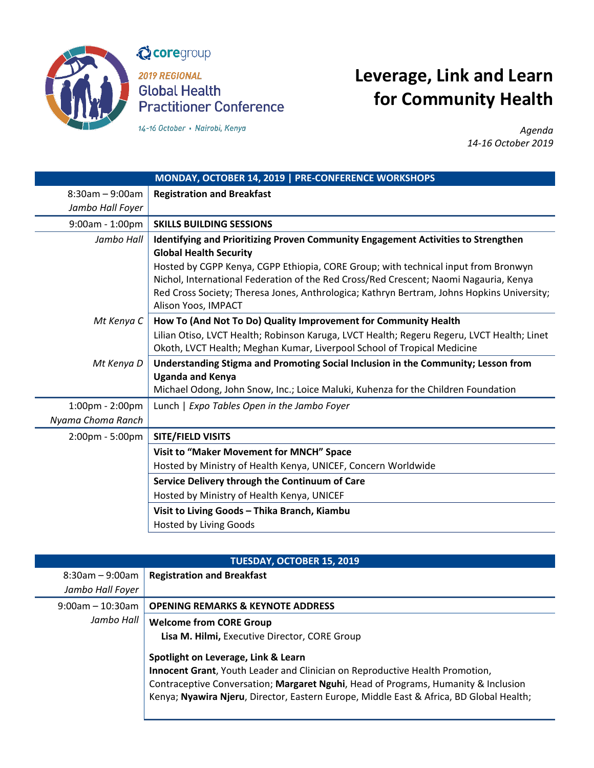

C coregroup

2019 REGIONAL **Global Health Practitioner Conference** 

## 14-16 October - Nairobi, Kenya

## **Leverage, Link and Learn for Community Health**

*Agenda 14-16 October 2019*

| MONDAY, OCTOBER 14, 2019   PRE-CONFERENCE WORKSHOPS |                                                                                                                                                                                                                                                                                                  |  |
|-----------------------------------------------------|--------------------------------------------------------------------------------------------------------------------------------------------------------------------------------------------------------------------------------------------------------------------------------------------------|--|
| $8:30am - 9:00am$                                   | <b>Registration and Breakfast</b>                                                                                                                                                                                                                                                                |  |
| Jambo Hall Foyer                                    |                                                                                                                                                                                                                                                                                                  |  |
| $9:00am - 1:00pm$                                   | <b>SKILLS BUILDING SESSIONS</b>                                                                                                                                                                                                                                                                  |  |
| Jambo Hall                                          | Identifying and Prioritizing Proven Community Engagement Activities to Strengthen<br><b>Global Health Security</b>                                                                                                                                                                               |  |
|                                                     | Hosted by CGPP Kenya, CGPP Ethiopia, CORE Group; with technical input from Bronwyn<br>Nichol, International Federation of the Red Cross/Red Crescent; Naomi Nagauria, Kenya<br>Red Cross Society; Theresa Jones, Anthrologica; Kathryn Bertram, Johns Hopkins University;<br>Alison Yoos, IMPACT |  |
| Mt Kenya C                                          | How To (And Not To Do) Quality Improvement for Community Health                                                                                                                                                                                                                                  |  |
|                                                     | Lilian Otiso, LVCT Health; Robinson Karuga, LVCT Health; Regeru Regeru, LVCT Health; Linet<br>Okoth, LVCT Health; Meghan Kumar, Liverpool School of Tropical Medicine                                                                                                                            |  |
| Mt Kenya D                                          | Understanding Stigma and Promoting Social Inclusion in the Community; Lesson from<br><b>Uganda and Kenya</b>                                                                                                                                                                                     |  |
|                                                     | Michael Odong, John Snow, Inc.; Loice Maluki, Kuhenza for the Children Foundation                                                                                                                                                                                                                |  |
| 1:00pm - 2:00pm<br>Nyama Choma Ranch                | Lunch   Expo Tables Open in the Jambo Foyer                                                                                                                                                                                                                                                      |  |
| 2:00pm - 5:00pm                                     | <b>SITE/FIELD VISITS</b>                                                                                                                                                                                                                                                                         |  |
|                                                     | Visit to "Maker Movement for MNCH" Space                                                                                                                                                                                                                                                         |  |
|                                                     | Hosted by Ministry of Health Kenya, UNICEF, Concern Worldwide                                                                                                                                                                                                                                    |  |
|                                                     | Service Delivery through the Continuum of Care                                                                                                                                                                                                                                                   |  |
|                                                     | Hosted by Ministry of Health Kenya, UNICEF                                                                                                                                                                                                                                                       |  |
|                                                     | Visit to Living Goods - Thika Branch, Kiambu                                                                                                                                                                                                                                                     |  |
|                                                     | <b>Hosted by Living Goods</b>                                                                                                                                                                                                                                                                    |  |

| TUESDAY, OCTOBER 15, 2019 |                                                                                         |
|---------------------------|-----------------------------------------------------------------------------------------|
| $8:30$ am - 9:00am        | <b>Registration and Breakfast</b>                                                       |
| Jambo Hall Foyer          |                                                                                         |
| $9:00$ am - 10:30am       | <b>OPENING REMARKS &amp; KEYNOTE ADDRESS</b>                                            |
| Jambo Hall                | <b>Welcome from CORE Group</b>                                                          |
|                           | Lisa M. Hilmi, Executive Director, CORE Group                                           |
|                           | Spotlight on Leverage, Link & Learn                                                     |
|                           | Innocent Grant, Youth Leader and Clinician on Reproductive Health Promotion,            |
|                           | Contraceptive Conversation; Margaret Nguhi, Head of Programs, Humanity & Inclusion      |
|                           | Kenya; Nyawira Njeru, Director, Eastern Europe, Middle East & Africa, BD Global Health; |
|                           |                                                                                         |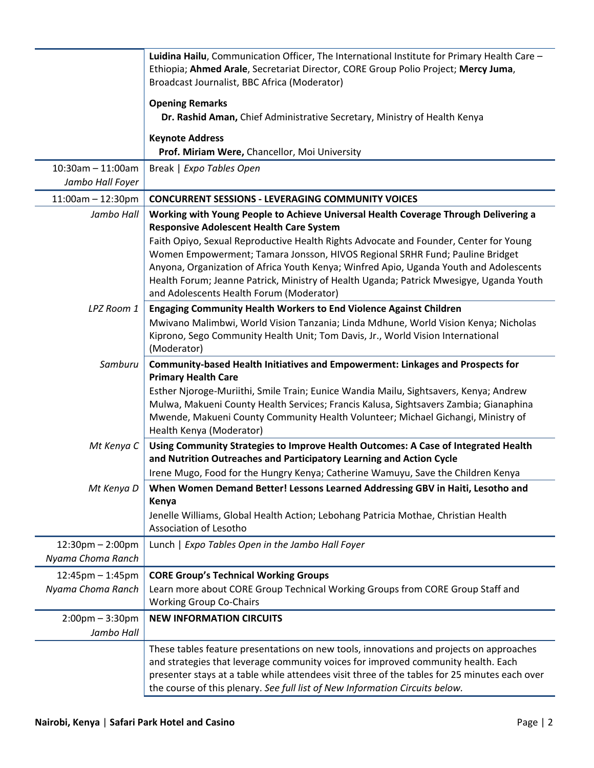|                                    | Luidina Hailu, Communication Officer, The International Institute for Primary Health Care -<br>Ethiopia; Ahmed Arale, Secretariat Director, CORE Group Polio Project; Mercy Juma,<br>Broadcast Journalist, BBC Africa (Moderator)                                                                                                                                                                      |
|------------------------------------|--------------------------------------------------------------------------------------------------------------------------------------------------------------------------------------------------------------------------------------------------------------------------------------------------------------------------------------------------------------------------------------------------------|
|                                    | <b>Opening Remarks</b><br>Dr. Rashid Aman, Chief Administrative Secretary, Ministry of Health Kenya                                                                                                                                                                                                                                                                                                    |
|                                    |                                                                                                                                                                                                                                                                                                                                                                                                        |
|                                    | <b>Keynote Address</b><br>Prof. Miriam Were, Chancellor, Moi University                                                                                                                                                                                                                                                                                                                                |
| $10:30$ am - 11:00am               | Break   Expo Tables Open                                                                                                                                                                                                                                                                                                                                                                               |
| Jambo Hall Foyer                   |                                                                                                                                                                                                                                                                                                                                                                                                        |
| $11:00$ am - $12:30$ pm            | <b>CONCURRENT SESSIONS - LEVERAGING COMMUNITY VOICES</b>                                                                                                                                                                                                                                                                                                                                               |
| Jambo Hall                         | Working with Young People to Achieve Universal Health Coverage Through Delivering a<br><b>Responsive Adolescent Health Care System</b>                                                                                                                                                                                                                                                                 |
|                                    | Faith Opiyo, Sexual Reproductive Health Rights Advocate and Founder, Center for Young<br>Women Empowerment; Tamara Jonsson, HIVOS Regional SRHR Fund; Pauline Bridget<br>Anyona, Organization of Africa Youth Kenya; Winfred Apio, Uganda Youth and Adolescents<br>Health Forum; Jeanne Patrick, Ministry of Health Uganda; Patrick Mwesigye, Uganda Youth<br>and Adolescents Health Forum (Moderator) |
| LPZ Room 1                         | <b>Engaging Community Health Workers to End Violence Against Children</b><br>Mwivano Malimbwi, World Vision Tanzania; Linda Mdhune, World Vision Kenya; Nicholas<br>Kiprono, Sego Community Health Unit; Tom Davis, Jr., World Vision International<br>(Moderator)                                                                                                                                     |
| Samburu                            | Community-based Health Initiatives and Empowerment: Linkages and Prospects for<br><b>Primary Health Care</b><br>Esther Njoroge-Muriithi, Smile Train; Eunice Wandia Mailu, Sightsavers, Kenya; Andrew<br>Mulwa, Makueni County Health Services; Francis Kalusa, Sightsavers Zambia; Gianaphina<br>Mwende, Makueni County Community Health Volunteer; Michael Gichangi, Ministry of                     |
| Mt Kenya C                         | Health Kenya (Moderator)<br>Using Community Strategies to Improve Health Outcomes: A Case of Integrated Health<br>and Nutrition Outreaches and Participatory Learning and Action Cycle<br>Irene Mugo, Food for the Hungry Kenya; Catherine Wamuyu, Save the Children Kenya                                                                                                                             |
| Mt Kenya D                         | When Women Demand Better! Lessons Learned Addressing GBV in Haiti, Lesotho and                                                                                                                                                                                                                                                                                                                         |
|                                    | Kenya<br>Jenelle Williams, Global Health Action; Lebohang Patricia Mothae, Christian Health<br>Association of Lesotho                                                                                                                                                                                                                                                                                  |
| 12:30pm - 2:00pm                   | Lunch   Expo Tables Open in the Jambo Hall Foyer                                                                                                                                                                                                                                                                                                                                                       |
| Nyama Choma Ranch                  |                                                                                                                                                                                                                                                                                                                                                                                                        |
| 12:45pm - 1:45pm                   | <b>CORE Group's Technical Working Groups</b>                                                                                                                                                                                                                                                                                                                                                           |
| Nyama Choma Ranch                  | Learn more about CORE Group Technical Working Groups from CORE Group Staff and<br><b>Working Group Co-Chairs</b>                                                                                                                                                                                                                                                                                       |
| $2:00$ pm $-3:30$ pm<br>Jambo Hall | <b>NEW INFORMATION CIRCUITS</b>                                                                                                                                                                                                                                                                                                                                                                        |
|                                    | These tables feature presentations on new tools, innovations and projects on approaches<br>and strategies that leverage community voices for improved community health. Each<br>presenter stays at a table while attendees visit three of the tables for 25 minutes each over<br>the course of this plenary. See full list of New Information Circuits below.                                          |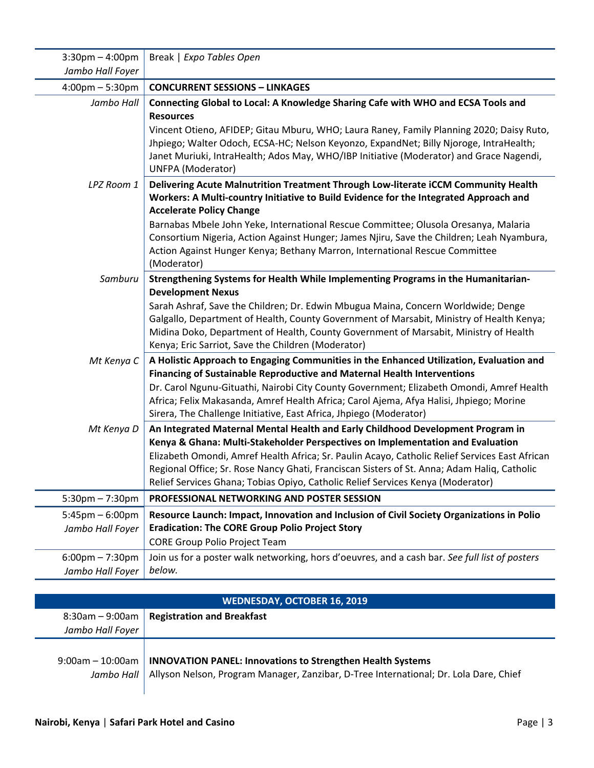| $3:30$ pm – $4:00$ pm                                 | Break   Expo Tables Open                                                                                                                                                                                                                                                                                                    |
|-------------------------------------------------------|-----------------------------------------------------------------------------------------------------------------------------------------------------------------------------------------------------------------------------------------------------------------------------------------------------------------------------|
| Jambo Hall Foyer                                      |                                                                                                                                                                                                                                                                                                                             |
| $4:00 \text{pm} - 5:30 \text{pm}$                     | <b>CONCURRENT SESSIONS - LINKAGES</b>                                                                                                                                                                                                                                                                                       |
| Jambo Hall                                            | Connecting Global to Local: A Knowledge Sharing Cafe with WHO and ECSA Tools and<br><b>Resources</b><br>Vincent Otieno, AFIDEP; Gitau Mburu, WHO; Laura Raney, Family Planning 2020; Daisy Ruto,                                                                                                                            |
|                                                       | Jhpiego; Walter Odoch, ECSA-HC; Nelson Keyonzo, ExpandNet; Billy Njoroge, IntraHealth;<br>Janet Muriuki, IntraHealth; Ados May, WHO/IBP Initiative (Moderator) and Grace Nagendi,<br><b>UNFPA (Moderator)</b>                                                                                                               |
| LPZ Room 1                                            | Delivering Acute Malnutrition Treatment Through Low-literate iCCM Community Health<br>Workers: A Multi-country Initiative to Build Evidence for the Integrated Approach and<br><b>Accelerate Policy Change</b>                                                                                                              |
|                                                       | Barnabas Mbele John Yeke, International Rescue Committee; Olusola Oresanya, Malaria<br>Consortium Nigeria, Action Against Hunger; James Njiru, Save the Children; Leah Nyambura,<br>Action Against Hunger Kenya; Bethany Marron, International Rescue Committee<br>(Moderator)                                              |
| Samburu                                               | Strengthening Systems for Health While Implementing Programs in the Humanitarian-<br><b>Development Nexus</b>                                                                                                                                                                                                               |
|                                                       | Sarah Ashraf, Save the Children; Dr. Edwin Mbugua Maina, Concern Worldwide; Denge<br>Galgallo, Department of Health, County Government of Marsabit, Ministry of Health Kenya;<br>Midina Doko, Department of Health, County Government of Marsabit, Ministry of Health<br>Kenya; Eric Sarriot, Save the Children (Moderator) |
| Mt Kenya C                                            | A Holistic Approach to Engaging Communities in the Enhanced Utilization, Evaluation and<br><b>Financing of Sustainable Reproductive and Maternal Health Interventions</b>                                                                                                                                                   |
|                                                       | Dr. Carol Ngunu-Gituathi, Nairobi City County Government; Elizabeth Omondi, Amref Health<br>Africa; Felix Makasanda, Amref Health Africa; Carol Ajema, Afya Halisi, Jhpiego; Morine<br>Sirera, The Challenge Initiative, East Africa, Jhpiego (Moderator)                                                                   |
| Mt Kenya D                                            | An Integrated Maternal Mental Health and Early Childhood Development Program in<br>Kenya & Ghana: Multi-Stakeholder Perspectives on Implementation and Evaluation                                                                                                                                                           |
|                                                       | Elizabeth Omondi, Amref Health Africa; Sr. Paulin Acayo, Catholic Relief Services East African<br>Regional Office; Sr. Rose Nancy Ghati, Franciscan Sisters of St. Anna; Adam Haliq, Catholic<br>Relief Services Ghana; Tobias Opiyo, Catholic Relief Services Kenya (Moderator)                                            |
| $5:30$ pm – 7:30pm                                    | PROFESSIONAL NETWORKING AND POSTER SESSION                                                                                                                                                                                                                                                                                  |
| $5:45$ pm – 6:00pm<br>Jambo Hall Foyer                | Resource Launch: Impact, Innovation and Inclusion of Civil Society Organizations in Polio<br><b>Eradication: The CORE Group Polio Project Story</b><br><b>CORE Group Polio Project Team</b>                                                                                                                                 |
| $6:00 \text{pm} - 7:30 \text{pm}$<br>Jambo Hall Foyer | Join us for a poster walk networking, hors d'oeuvres, and a cash bar. See full list of posters<br>below.                                                                                                                                                                                                                    |

| <b>WEDNESDAY, OCTOBER 16, 2019</b>  |                                                                                                                                                            |  |
|-------------------------------------|------------------------------------------------------------------------------------------------------------------------------------------------------------|--|
| 8:30am - 9:00am<br>Jambo Hall Foyer | <b>Registration and Breakfast</b>                                                                                                                          |  |
| $9:00$ am - 10:00am  <br>Jambo Hall | <b>INNOVATION PANEL: Innovations to Strengthen Health Systems</b><br>Allyson Nelson, Program Manager, Zanzibar, D-Tree International; Dr. Lola Dare, Chief |  |